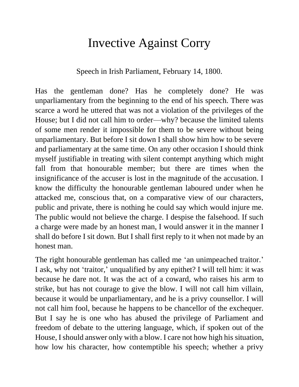## Invective Against Corry

Speech in Irish Parliament, February 14, 1800.

Has the gentleman done? Has he completely done? He was unparliamentary from the beginning to the end of his speech. There was scarce a word he uttered that was not a violation of the privileges of the House; but I did not call him to order—why? because the limited talents of some men render it impossible for them to be severe without being unparliamentary. But before I sit down I shall show him how to be severe and parliamentary at the same time. On any other occasion I should think myself justifiable in treating with silent contempt anything which might fall from that honourable member; but there are times when the insignificance of the accuser is lost in the magnitude of the accusation. I know the difficulty the honourable gentleman laboured under when he attacked me, conscious that, on a comparative view of our characters, public and private, there is nothing he could say which would injure me. The public would not believe the charge. I despise the falsehood. If such a charge were made by an honest man, I would answer it in the manner I shall do before I sit down. But I shall first reply to it when not made by an honest man.

The right honourable gentleman has called me 'an unimpeached traitor.' I ask, why not 'traitor,' unqualified by any epithet? I will tell him: it was because he dare not. It was the act of a coward, who raises his arm to strike, but has not courage to give the blow. I will not call him villain, because it would be unparliamentary, and he is a privy counsellor. I will not call him fool, because he happens to be chancellor of the exchequer. But I say he is one who has abused the privilege of Parliament and freedom of debate to the uttering language, which, if spoken out of the House, I should answer only with a blow. I care not how high his situation, how low his character, how contemptible his speech; whether a privy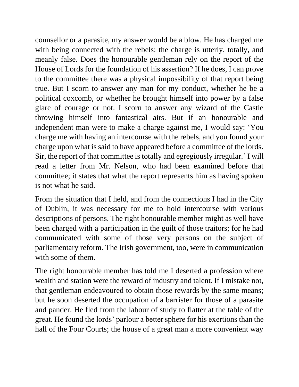counsellor or a parasite, my answer would be a blow. He has charged me with being connected with the rebels: the charge is utterly, totally, and meanly false. Does the honourable gentleman rely on the report of the House of Lords for the foundation of his assertion? If he does, I can prove to the committee there was a physical impossibility of that report being true. But I scorn to answer any man for my conduct, whether he be a political coxcomb, or whether he brought himself into power by a false glare of courage or not. I scorn to answer any wizard of the Castle throwing himself into fantastical airs. But if an honourable and independent man were to make a charge against me, I would say: 'You charge me with having an intercourse with the rebels, and you found your charge upon what is said to have appeared before a committee of the lords. Sir, the report of that committee is totally and egregiously irregular.' I will read a letter from Mr. Nelson, who had been examined before that committee; it states that what the report represents him as having spoken is not what he said.

From the situation that I held, and from the connections I had in the City of Dublin, it was necessary for me to hold intercourse with various descriptions of persons. The right honourable member might as well have been charged with a participation in the guilt of those traitors; for he had communicated with some of those very persons on the subject of parliamentary reform. The Irish government, too, were in communication with some of them.

The right honourable member has told me I deserted a profession where wealth and station were the reward of industry and talent. If I mistake not, that gentleman endeavoured to obtain those rewards by the same means; but he soon deserted the occupation of a barrister for those of a parasite and pander. He fled from the labour of study to flatter at the table of the great. He found the lords' parlour a better sphere for his exertions than the hall of the Four Courts; the house of a great man a more convenient way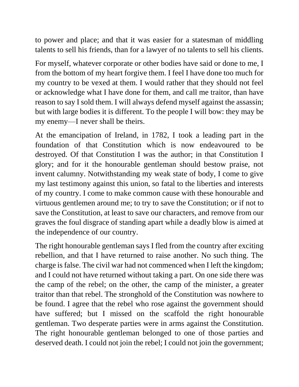to power and place; and that it was easier for a statesman of middling talents to sell his friends, than for a lawyer of no talents to sell his clients.

For myself, whatever corporate or other bodies have said or done to me, I from the bottom of my heart forgive them. I feel I have done too much for my country to be vexed at them. I would rather that they should not feel or acknowledge what I have done for them, and call me traitor, than have reason to say I sold them. I will always defend myself against the assassin; but with large bodies it is different. To the people I will bow: they may be my enemy—I never shall be theirs.

At the emancipation of Ireland, in 1782, I took a leading part in the foundation of that Constitution which is now endeavoured to be destroyed. Of that Constitution I was the author; in that Constitution I glory; and for it the honourable gentleman should bestow praise, not invent calumny. Notwithstanding my weak state of body, I come to give my last testimony against this union, so fatal to the liberties and interests of my country. I come to make common cause with these honourable and virtuous gentlemen around me; to try to save the Constitution; or if not to save the Constitution, at least to save our characters, and remove from our graves the foul disgrace of standing apart while a deadly blow is aimed at the independence of our country.

The right honourable gentleman says I fled from the country after exciting rebellion, and that I have returned to raise another. No such thing. The charge is false. The civil war had not commenced when I left the kingdom; and I could not have returned without taking a part. On one side there was the camp of the rebel; on the other, the camp of the minister, a greater traitor than that rebel. The stronghold of the Constitution was nowhere to be found. I agree that the rebel who rose against the government should have suffered; but I missed on the scaffold the right honourable gentleman. Two desperate parties were in arms against the Constitution. The right honourable gentleman belonged to one of those parties and deserved death. I could not join the rebel; I could not join the government;